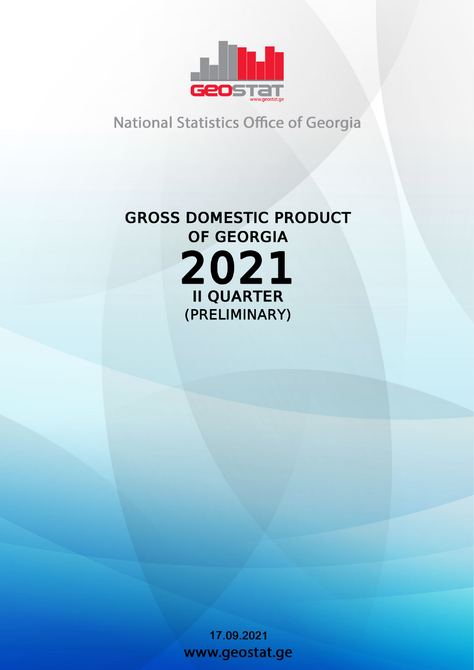

## **National Statistics Office of Georgia**

# **GROSS DOMESTIC PRODUCT** OF GEORGIA 2021 **II QUARTER** (PRELIMINARY)

17.09.2021 www.geostat.ge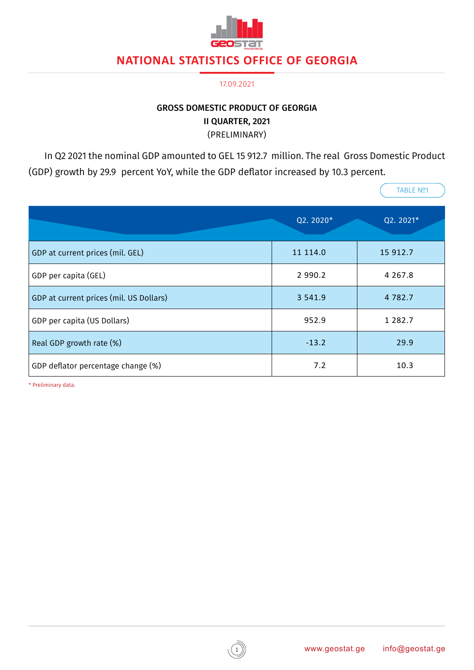

#### 17.09.2021

#### GROSS DOMESTIC PRODUCT OF GEORGIA II QUARTER, 2021 (PRELIMINARY)

In Q2 2021 the nominal GDP amounted to GEL 15 912.7 million. The real Gross Domestic Product (GDP) growth by 29.9 percent YoY, while the GDP deflator increased by 10.3 percent.

|                                         | Q2.2020*    | Q2.2021*    |
|-----------------------------------------|-------------|-------------|
| GDP at current prices (mil. GEL)        | 11 114.0    | 15 912.7    |
| GDP per capita (GEL)                    | 2 9 9 0 . 2 | 4 2 6 7 . 8 |
| GDP at current prices (mil. US Dollars) | 3 5 4 1 . 9 | 4 7 8 2 . 7 |
| GDP per capita (US Dollars)             | 952.9       | 1 2 8 2 . 7 |
| Real GDP growth rate (%)                | $-13.2$     | 29.9        |
| GDP deflator percentage change (%)      | 7.2         | 10.3        |

\* Preliminary data.

TABLE Nº1

 $\sqrt{2}$ 

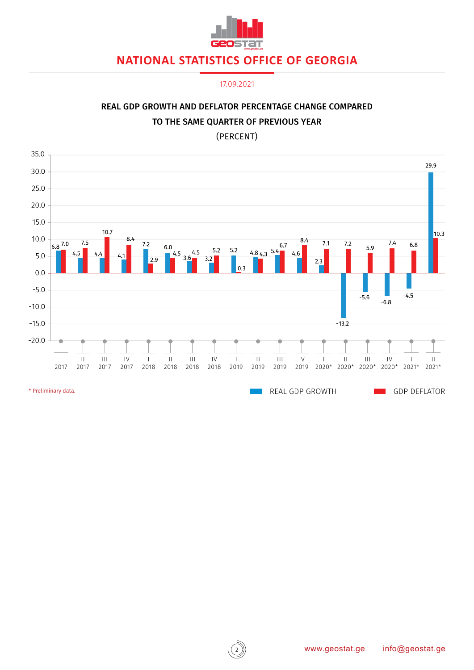

17.09.2021



### REAL GDP GROWTH AND DEFLATOR PERCENTAGE CHANGE COMPARED TO THE SAME QUARTER OF PREVIOUS YEAR

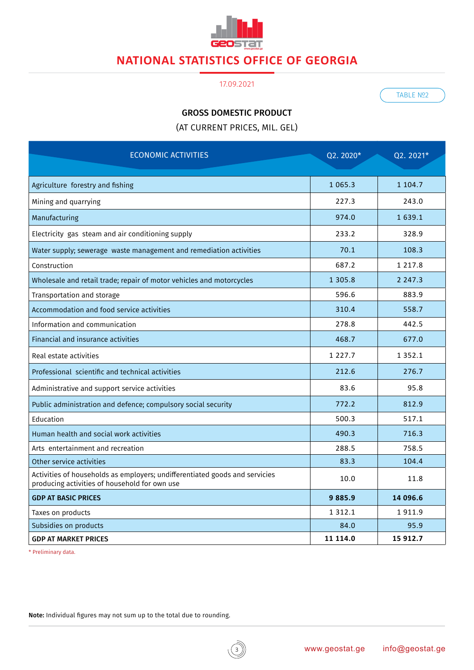

#### 17.09.2021

TABLE Nº2

#### GROSS DOMESTIC PRODUCT

(AT CURRENT PRICES, MIL. GEL)

| <b>ECONOMIC ACTIVITIES</b>                                                                                                   | Q2.2020*    | Q2. 2021*   |
|------------------------------------------------------------------------------------------------------------------------------|-------------|-------------|
| Agriculture forestry and fishing                                                                                             | 1 0 6 5 . 3 | 1 104.7     |
| Mining and quarrying                                                                                                         | 227.3       | 243.0       |
| Manufacturing                                                                                                                | 974.0       | 1 639.1     |
| Electricity gas steam and air conditioning supply                                                                            | 233.2       | 328.9       |
| Water supply; sewerage waste management and remediation activities                                                           | 70.1        | 108.3       |
| Construction                                                                                                                 | 687.2       | 1 2 1 7 . 8 |
| Wholesale and retail trade; repair of motor vehicles and motorcycles                                                         | 1 3 0 5 . 8 | 2 2 4 7 . 3 |
| Transportation and storage                                                                                                   | 596.6       | 883.9       |
| Accommodation and food service activities                                                                                    | 310.4       | 558.7       |
| Information and communication                                                                                                | 278.8       | 442.5       |
| Financial and insurance activities                                                                                           | 468.7       | 677.0       |
| Real estate activities                                                                                                       | 1 2 2 7 . 7 | 1 3 5 2 . 1 |
| Professional scientific and technical activities                                                                             | 212.6       | 276.7       |
| Administrative and support service activities                                                                                | 83.6        | 95.8        |
| Public administration and defence; compulsory social security                                                                | 772.2       | 812.9       |
| Education                                                                                                                    | 500.3       | 517.1       |
| Human health and social work activities                                                                                      | 490.3       | 716.3       |
| Arts entertainment and recreation                                                                                            | 288.5       | 758.5       |
| Other service activities                                                                                                     | 83.3        | 104.4       |
| Activities of households as employers; undifferentiated goods and servicies<br>producing activities of household for own use | 10.0        | 11.8        |
| <b>GDP AT BASIC PRICES</b>                                                                                                   | 9885.9      | 14 096.6    |
| Taxes on products                                                                                                            | 1 3 1 2 . 1 | 1911.9      |
| Subsidies on products                                                                                                        | 84.0        | 95.9        |
| <b>GDP AT MARKET PRICES</b>                                                                                                  | 11 114.0    | 15 912.7    |

\* Preliminary data.

Note: Individual figures may not sum up to the total due to rounding.

 $\mathbf{3}$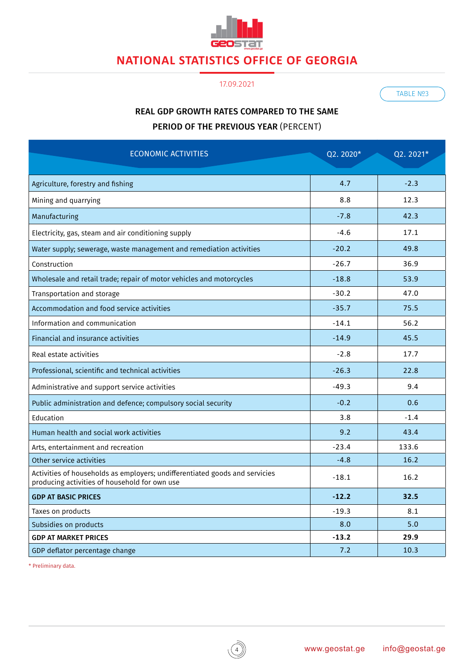

#### 17.09.2021

TABLE Nº3

### REAL GDP GROWTH RATES COMPARED TO THE SAME PERIOD OF THE PREVIOUS YEAR (PERCENT)

| <b>ECONOMIC ACTIVITIES</b>                                                                                                   | Q2.2020* | Q2. 2021* |
|------------------------------------------------------------------------------------------------------------------------------|----------|-----------|
| Agriculture, forestry and fishing                                                                                            | 4.7      | $-2.3$    |
| Mining and quarrying                                                                                                         | 8.8      | 12.3      |
| Manufacturing                                                                                                                | $-7.8$   | 42.3      |
| Electricity, gas, steam and air conditioning supply                                                                          | $-4.6$   | 17.1      |
| Water supply; sewerage, waste management and remediation activities                                                          | $-20.2$  | 49.8      |
| Construction                                                                                                                 | $-26.7$  | 36.9      |
| Wholesale and retail trade; repair of motor vehicles and motorcycles                                                         | $-18.8$  | 53.9      |
| Transportation and storage                                                                                                   | $-30.2$  | 47.0      |
| Accommodation and food service activities                                                                                    | $-35.7$  | 75.5      |
| Information and communication                                                                                                | $-14.1$  | 56.2      |
| Financial and insurance activities                                                                                           | $-14.9$  | 45.5      |
| Real estate activities                                                                                                       | $-2.8$   | 17.7      |
| Professional, scientific and technical activities                                                                            | $-26.3$  | 22.8      |
| Administrative and support service activities                                                                                | $-49.3$  | 9.4       |
| Public administration and defence; compulsory social security                                                                | $-0.2$   | 0.6       |
| Education                                                                                                                    | 3.8      | $-1.4$    |
| Human health and social work activities                                                                                      | 9.2      | 43.4      |
| Arts, entertainment and recreation                                                                                           | $-23.4$  | 133.6     |
| Other service activities                                                                                                     | $-4.8$   | 16.2      |
| Activities of households as employers; undifferentiated goods and servicies<br>producing activities of household for own use | $-18.1$  | 16.2      |
| <b>GDP AT BASIC PRICES</b>                                                                                                   | $-12.2$  | 32.5      |
| Taxes on products                                                                                                            | $-19.3$  | 8.1       |
| Subsidies on products                                                                                                        | 8.0      | 5.0       |
| <b>GDP AT MARKET PRICES</b>                                                                                                  | $-13.2$  | 29.9      |
| GDP deflator percentage change                                                                                               | 7.2      | 10.3      |

4

\* Preliminary data.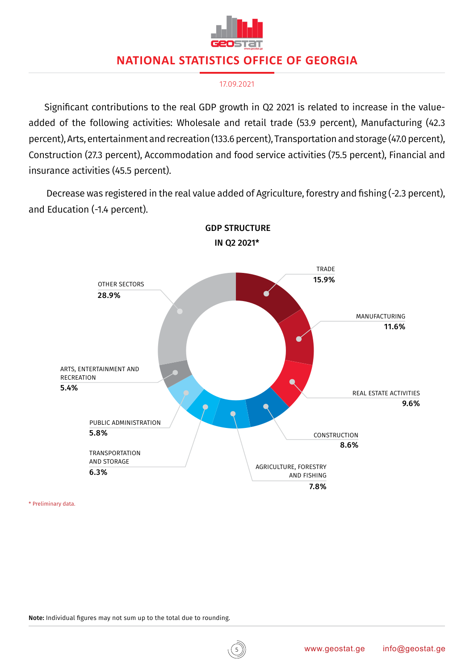

#### 17.09.2021

Significant contributions to the real GDP growth in Q2 2021 is related to increase in the valueadded of the following activities: Wholesale and retail trade (53.9 percent), Manufacturing (42.3 percent), Arts, entertainment and recreation (133.6 percent), Transportation and storage (47.0 percent), Construction (27.3 percent), Accommodation and food service activities (75.5 percent), Financial and insurance activities (45.5 percent).

 Decrease was registered in the real value added of Agriculture, forestry and fishing (-2.3 percent), and Education (-1.4 percent).



 GDP STRUCTURE IN Q2 2021\*

\* Preliminary data.

5